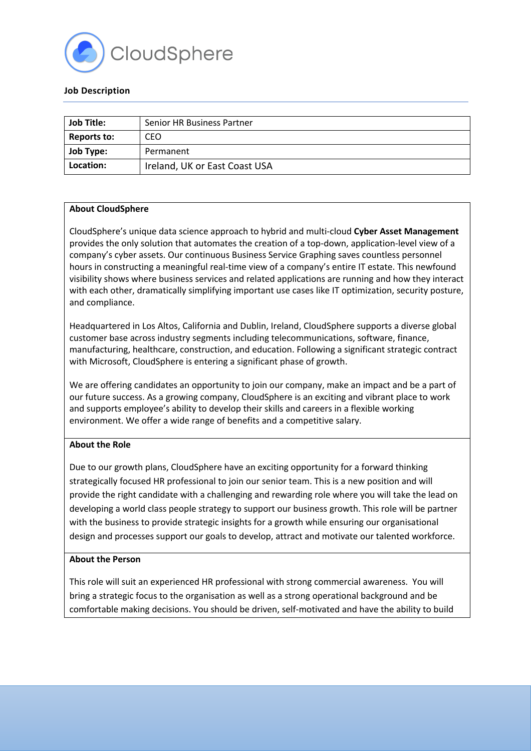

## **Job Description**

| <b>Job Title:</b> | <b>Senior HR Business Partner</b> |
|-------------------|-----------------------------------|
| Reports to:       | CEO                               |
| <b>Job Type:</b>  | Permanent                         |
| Location:         | Ireland, UK or East Coast USA     |

## **About CloudSphere**

CloudSphere's unique data science approach to hybrid and multi-cloud **Cyber Asset Management** provides the only solution that automates the creation of a top-down, application-level view of a company's cyber assets. Our continuous Business Service Graphing saves countless personnel hours in constructing a meaningful real-time view of a company's entire IT estate. This newfound visibility shows where business services and related applications are running and how they interact with each other, dramatically simplifying important use cases like IT optimization, security posture, and compliance.

Headquartered in Los Altos, California and Dublin, Ireland, CloudSphere supports a diverse global customer base across industry segments including telecommunications, software, finance, manufacturing, healthcare, construction, and education. Following a significant strategic contract with Microsoft, CloudSphere is entering a significant phase of growth.

We are offering candidates an opportunity to join our company, make an impact and be a part of our future success. As a growing company, CloudSphere is an exciting and vibrant place to work and supports employee's ability to develop their skills and careers in a flexible working environment. We offer a wide range of benefits and a competitive salary.

# **About the Role**

Due to our growth plans, CloudSphere have an exciting opportunity for a forward thinking strategically focused HR professional to join our senior team. This is a new position and will provide the right candidate with a challenging and rewarding role where you will take the lead on developing a world class people strategy to support our business growth. This role will be partner with the business to provide strategic insights for a growth while ensuring our organisational design and processes support our goals to develop, attract and motivate our talented workforce.

## **About the Person**

This role will suit an experienced HR professional with strong commercial awareness. You will bring a strategic focus to the organisation as well as a strong operational background and be comfortable making decisions. You should be driven, self-motivated and have the ability to build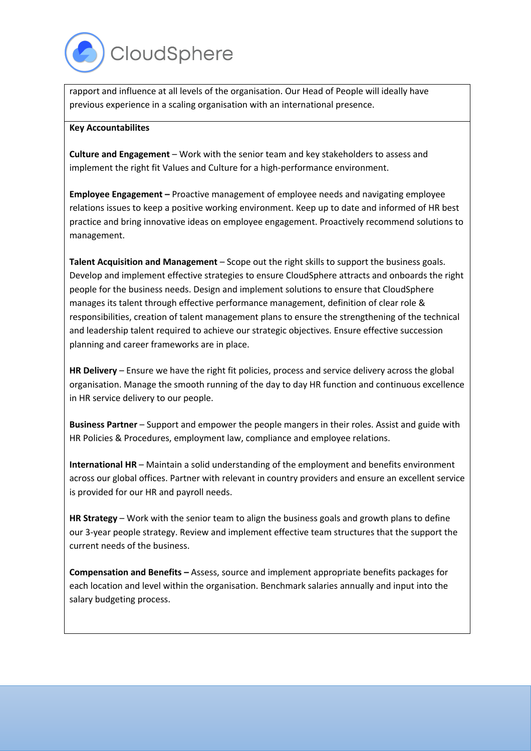

rapport and influence at all levels of the organisation. Our Head of People will ideally have previous experience in a scaling organisation with an international presence.

#### **Key Accountabilites**

**Culture and Engagement** – Work with the senior team and key stakeholders to assess and implement the right fit Values and Culture for a high-performance environment.

**Employee Engagement –** Proactive management of employee needs and navigating employee relations issues to keep a positive working environment. Keep up to date and informed of HR best practice and bring innovative ideas on employee engagement. Proactively recommend solutions to management.

**Talent Acquisition and Management** – Scope out the right skills to support the business goals. Develop and implement effective strategies to ensure CloudSphere attracts and onboards the right people for the business needs. Design and implement solutions to ensure that CloudSphere manages its talent through effective performance management, definition of clear role & responsibilities, creation of talent management plans to ensure the strengthening of the technical and leadership talent required to achieve our strategic objectives. Ensure effective succession planning and career frameworks are in place.

**HR Delivery** – Ensure we have the right fit policies, process and service delivery across the global organisation. Manage the smooth running of the day to day HR function and continuous excellence in HR service delivery to our people.

**Business Partner** – Support and empower the people mangers in their roles. Assist and guide with HR Policies & Procedures, employment law, compliance and employee relations.

**International HR** – Maintain a solid understanding of the employment and benefits environment across our global offices. Partner with relevant in country providers and ensure an excellent service is provided for our HR and payroll needs.

**HR Strategy** – Work with the senior team to align the business goals and growth plans to define our 3-year people strategy. Review and implement effective team structures that the support the current needs of the business.

**Compensation and Benefits –** Assess, source and implement appropriate benefits packages for each location and level within the organisation. Benchmark salaries annually and input into the salary budgeting process.